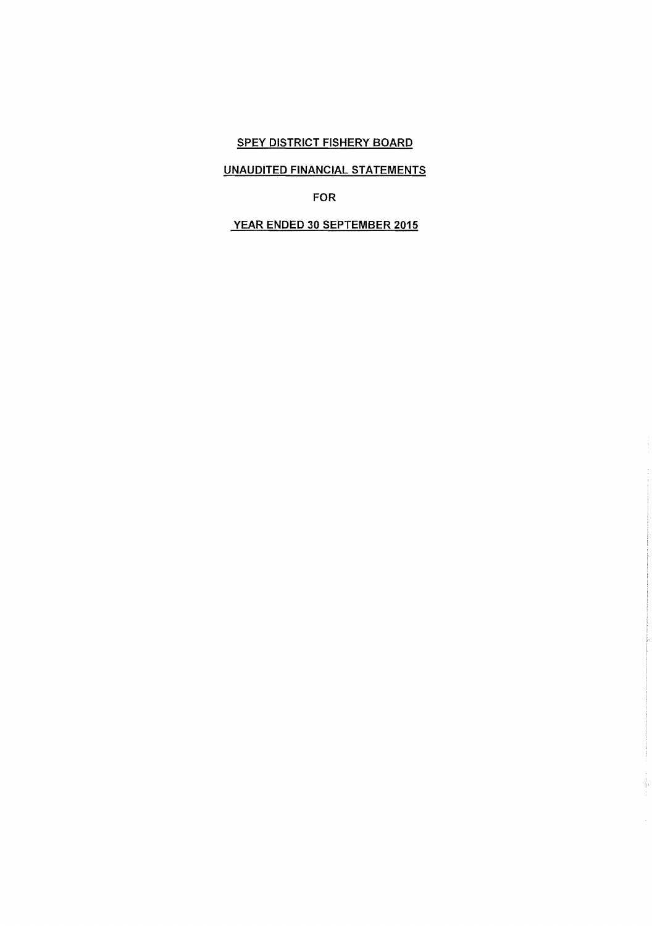#### UNAUDITED FINANCIAL STATEMENTS

FOR

# YEAR ENDED 30 SEPTEMBER 2015

 $\frac{1}{2}$  e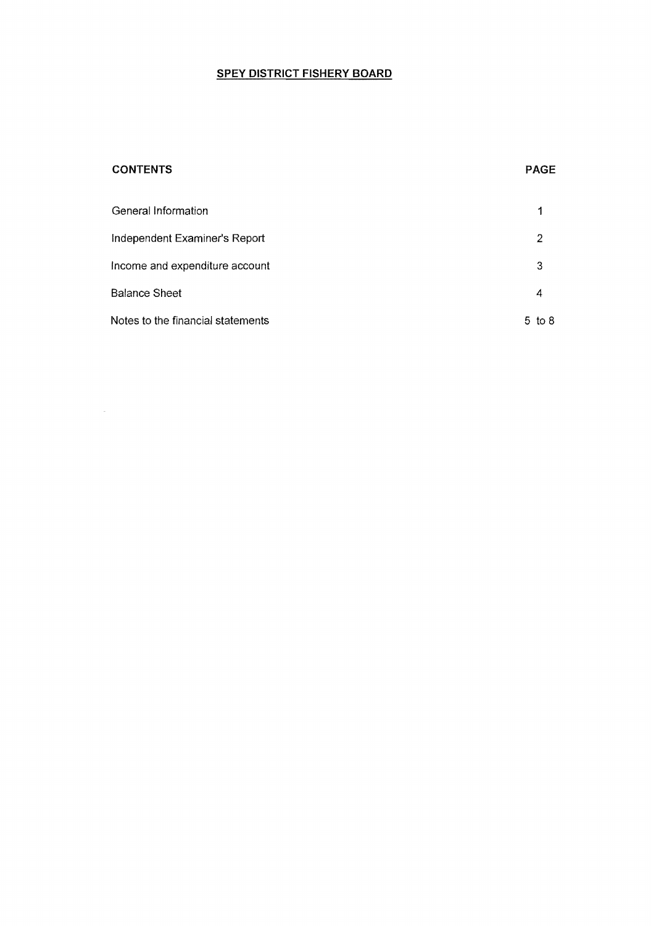# **CONTENTS PAGE**

 $\mathcal{L}^{\text{max}}_{\text{max}}$  and  $\mathcal{L}^{\text{max}}_{\text{max}}$ 

| General Information               |        |
|-----------------------------------|--------|
| Independent Examiner's Report     | 2      |
| Income and expenditure account    | 3      |
| <b>Balance Sheet</b>              | 4      |
| Notes to the financial statements | 5 to 8 |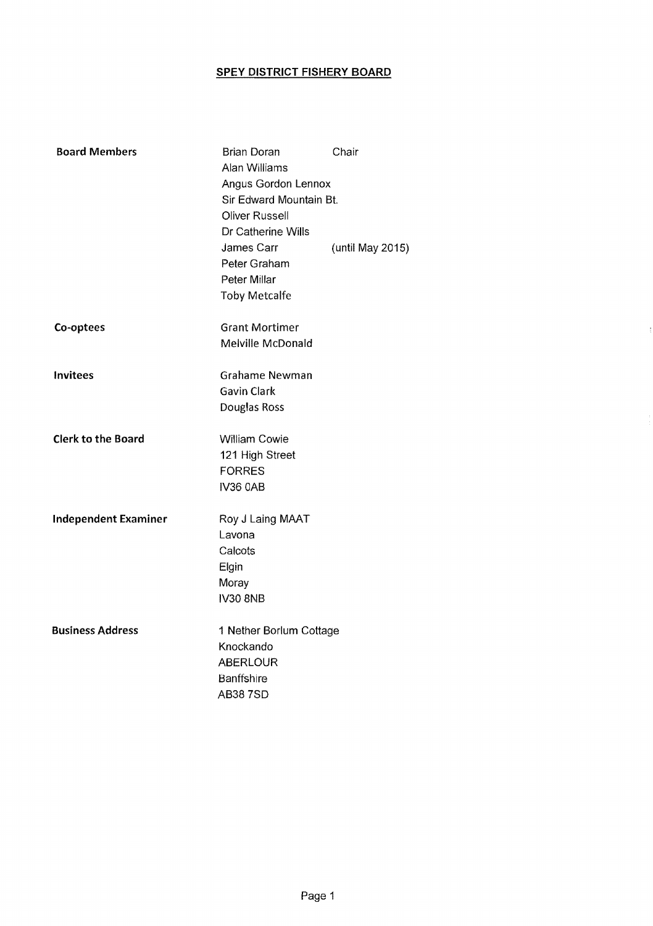þ

| <b>Board Members</b>        | Brian Doran<br>Alan Williams<br><b>Angus Gordon Lennox</b><br>Sir Edward Mountain Bt.<br><b>Oliver Russell</b><br>Dr Catherine Wills<br>James Carr<br>Peter Graham<br>Peter Millar<br><b>Toby Metcalfe</b> | Chair<br>(until May 2015) |
|-----------------------------|------------------------------------------------------------------------------------------------------------------------------------------------------------------------------------------------------------|---------------------------|
| Co-optees                   | <b>Grant Mortimer</b><br>Melville McDonald                                                                                                                                                                 |                           |
| Invitees                    | <b>Grahame Newman</b><br>Gavin Clark<br>Douglas Ross                                                                                                                                                       |                           |
| <b>Clerk to the Board</b>   | <b>William Cowie</b><br>121 High Street<br><b>FORRES</b><br>IV36 0AB                                                                                                                                       |                           |
| <b>Independent Examiner</b> | Roy J Laing MAAT<br>Lavona<br>Calcots<br>Elgin<br>Moray<br><b>IV30 8NB</b>                                                                                                                                 |                           |
| <b>Business Address</b>     | 1 Nether Borlum Cottage<br>Knockando<br><b>ABERLOUR</b><br>Banffshire<br><b>AB387SD</b>                                                                                                                    |                           |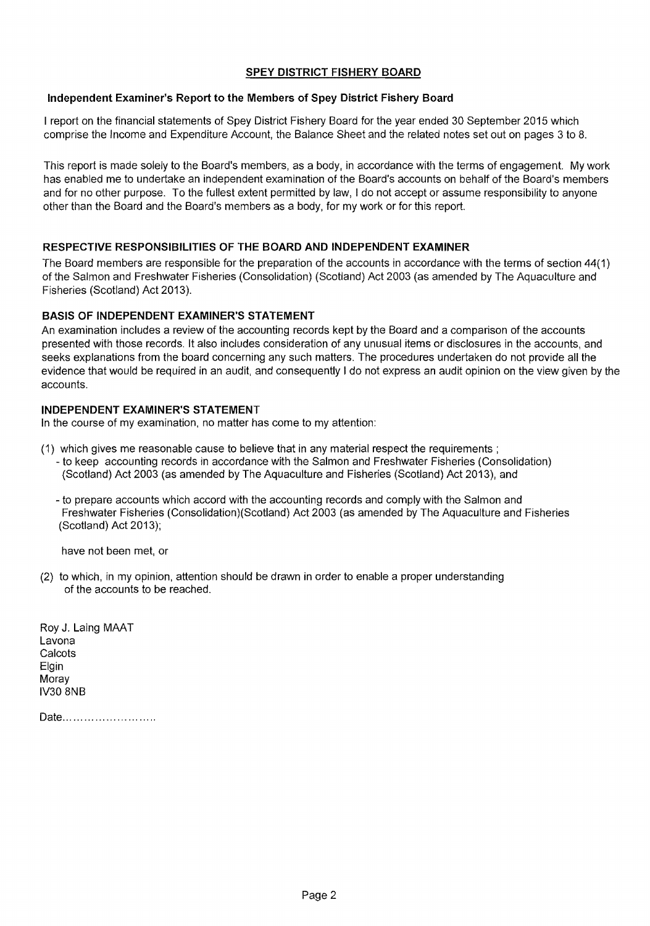#### Independent Examiner's Report to the Members of Spey District Fishery Board

I report on the financial statements of Spey District Fishery Board for the year ended 30 September 2015 which comprise the Income and Expenditure Account, the Balance Sheet and the related notes set out on pages 3 to S.

This report is made solely to the Board's members, as a body, in accordance with the terms of engagement. My work has enabled me to undertake an independent examination of the Board's accounts on behalf of the Board's members and for no other purpose. To the fullest extent permitted by law, I do not accept or assume responsibility to anyone other than the Board and the Board's members as a body, for my work or for this report.

### RESPECTIVE RESPONSIBILITIES OF THE BOARD AND INDEPENDENT EXAMINER

The Board members are responsible for the preparation of the accounts in accordance with the terms of section 44(1) of the Salmon and Freshwater Fisheries (Consolidation) (Scotland) Act 2003 (as amended by The Aquaculture and Fisheries (Scotland) Act 2013).

# BASIS OF INDEPENDENT EXAMINER'S STATEMENT

An examination includes a review of the accounting records kept by the Board and a comparison of the accounts presented with those records. It also includes consideration of any unusual items or disclosures in the accounts, and seeks explanations from the board concerning any such matters. The procedures undertaken do not provide all the evidence that would be required in an audit, and consequently I do not express an audit opinion on the view given by the accounts.

### INDEPENDENT EXAMINER'S STATEMENT

In the course of my examination, no matter has come to my attention:

- (1) which gives me reasonable cause to believe that in any material respect the requirements; - to keep accounting records in accordance with the Salmon and Freshwater Fisheries (Consolidation) (Scotland) Act 2003 (as amended by The Aquaculture and Fisheries (Scotland) Act 2013), and
	- to prepare accounts which accord with the accounting records and comply with the Salmon and Freshwater Fisheries (Consolidation)(Scotland) Act 2003 (as amended by The Aquaculture and Fisheries (Scotland) Act 2013);

have not been met, or

(2) to which, in my opinion, attention should be drawn in order to enable a proper understanding of the accounts to be reached.

Roy J. Laing MAAT Lavona **Calcots** Elgin Moray IV30 SNB

Date..........................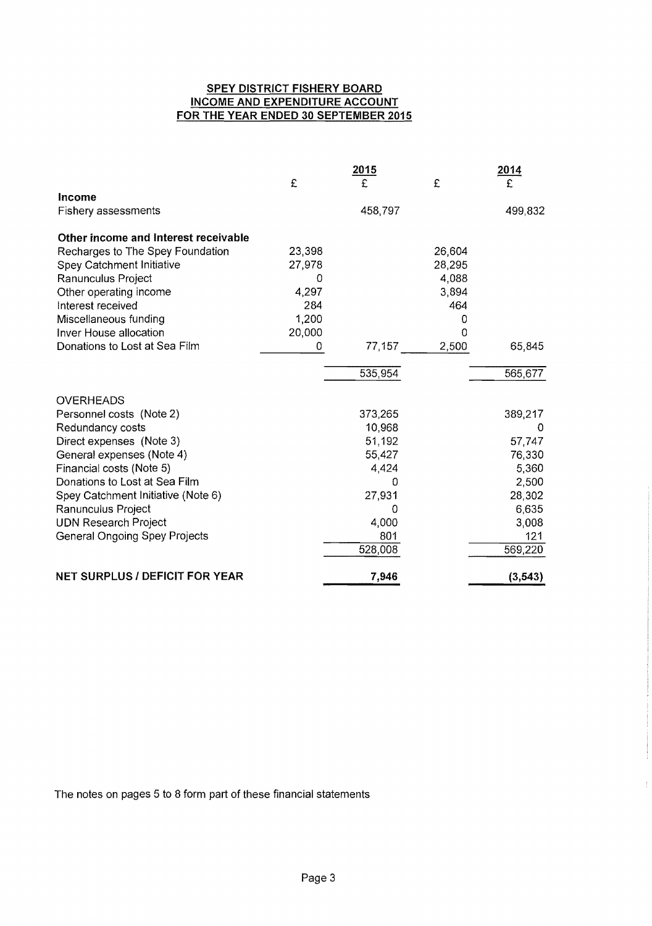# **SPEY DISTRICT FISHERY BOARD INCOME AND EXPENDITURE ACCOUNT FOR THE YEAR ENDED 30 SEPTEMBER 2015**

|                                       |        | 2015     |        | <u>2014</u> |
|---------------------------------------|--------|----------|--------|-------------|
|                                       | £      | £        | £      |             |
| Income                                |        |          |        |             |
| <b>Fishery assessments</b>            |        | 458,797  |        | 499,832     |
| Other income and Interest receivable  |        |          |        |             |
| Recharges to The Spey Foundation      | 23,398 |          | 26,604 |             |
| Spey Catchment Initiative             | 27,978 |          | 28,295 |             |
| Ranunculus Project                    | 0      |          | 4,088  |             |
| Other operating income                | 4,297  |          | 3,894  |             |
| Interest received                     | 284    |          | 464    |             |
| Miscellaneous funding                 | 1,200  |          | 0      |             |
| Inver House allocation                | 20,000 |          | 0      |             |
| Donations to Lost at Sea Film         | 0      | 77,157   | 2,500  | 65,845      |
|                                       |        | 535,954  |        | 565,677     |
| <b>OVERHEADS</b>                      |        |          |        |             |
| Personnel costs (Note 2)              |        | 373,265  |        | 389,217     |
| Redundancy costs                      |        | 10,968   |        | 0           |
| Direct expenses (Note 3)              |        | 51,192   |        | 57,747      |
| General expenses (Note 4)             |        | 55,427   |        | 76,330      |
| Financial costs (Note 5)              |        | 4,424    |        | 5,360       |
| Donations to Lost at Sea Film         |        | Ω        |        | 2,500       |
| Spey Catchment Initiative (Note 6)    |        | 27,931   |        | 28,302      |
| Ranunculus Project                    |        | $\Omega$ |        | 6,635       |
| <b>UDN Research Project</b>           |        | 4,000    |        | 3,008       |
| <b>General Ongoing Spey Projects</b>  |        | 801      |        | 121         |
|                                       |        | 528,008  |        | 569,220     |
| <b>NET SURPLUS / DEFICIT FOR YEAR</b> |        | 7,946    |        | (3, 543)    |

The notes on pages 5 to 8 form part of these financial statements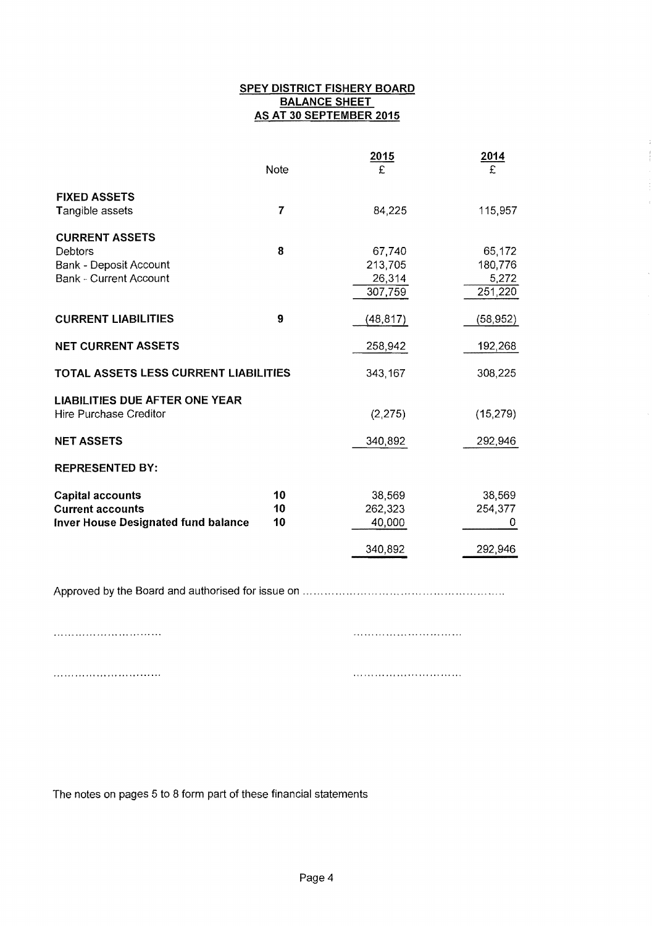# **SPEY DISTRICT FISHERY BOARD BALANCE SHEET AS AT 30 SEPTEMBER 2015**

|                                            | Note | 2015<br>£ | 2014<br>£ |
|--------------------------------------------|------|-----------|-----------|
| <b>FIXED ASSETS</b><br>Tangible assets     | 7    | 84,225    | 115,957   |
|                                            |      |           |           |
| <b>CURRENT ASSETS</b><br>Debtors           | 8    | 67,740    | 65,172    |
| <b>Bank - Deposit Account</b>              |      | 213,705   | 180,776   |
| <b>Bank - Current Account</b>              |      | 26,314    | 5,272     |
|                                            |      | 307,759   | 251,220   |
| <b>CURRENT LIABILITIES</b>                 | 9    | (48, 817) | (58, 952) |
| <b>NET CURRENT ASSETS</b>                  |      | 258,942   | 192,268   |
| TOTAL ASSETS LESS CURRENT LIABILITIES      |      | 343,167   | 308,225   |
| <b>LIABILITIES DUE AFTER ONE YEAR</b>      |      |           |           |
| <b>Hire Purchase Creditor</b>              |      | (2, 275)  | (15, 279) |
| <b>NET ASSETS</b>                          |      | 340,892   | 292,946   |
| <b>REPRESENTED BY:</b>                     |      |           |           |
| <b>Capital accounts</b>                    | 10   | 38,569    | 38,569    |
| <b>Current accounts</b>                    | 10   | 262,323   | 254,377   |
| <b>Inver House Designated fund balance</b> | 10   | 40,000    | 0         |
|                                            |      | 340,892   | 292,946   |

Approved by the Board and authorised for issue on ........................................................

The notes on pages 5 to 8 form part of these financial statements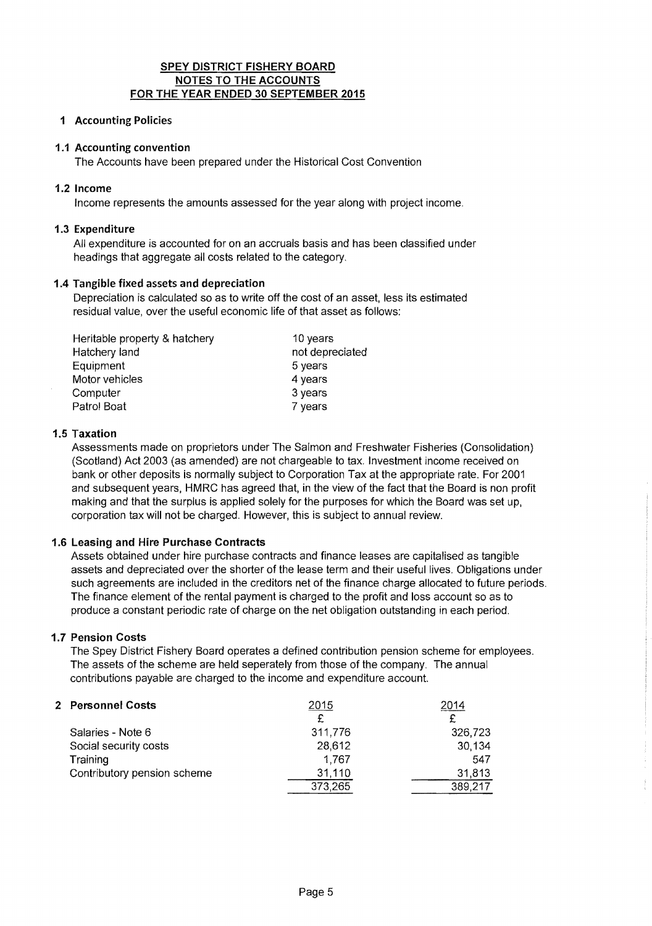# SPEY DISTRICT FISHERY BOARD NOTES TO THE ACCOUNTS FOR THE YEAR ENDED 30 SEPTEMBER 2015

# 1 Accounting Policies

### 1.1 Accounting convention

The Accounts have been prepared under the Historical Cost Convention

### 1.2 Income

Income represents the amounts assessed for the year along with project income.

#### 1.3 Expenditure

All expenditure is accounted for on an accruals basis and has been classified under headings that aggregate all costs related to the category.

#### 1.4 Tangible fixed assets and depreciation

Depreciation is calculated so as to write off the cost of an asset, less its estimated residual value, over the useful economic life of that asset as follows:

| Heritable property & hatchery | 10 years        |
|-------------------------------|-----------------|
| Hatchery land                 | not depreciated |
| Equipment                     | 5 years         |
| Motor vehicles                | 4 years         |
| Computer                      | 3 years         |
| Patrol Boat                   | 7 years         |

#### 1.5 Taxation

Assessments made on proprietors under The Salmon and Freshwater Fisheries (Consolidation) (Scotland) Act 2003 (as amended) are not chargeable to tax. Investment income received on bank or other deposits is normally subject to Corporation Tax at the appropriate rate. For 2001 and subsequent years, HMRC has agreed that, in the view of the fact that the Board is non profit making and that the surplus is applied solely for the purposes for which the Board was set up, corporation tax will not be charged. However, this is subject to annual review.

### 1.6 Leasing and Hire Purchase Contracts

Assets obtained under hire purchase contracts and finance leases are capitalised as tangible assets and depreciated over the shorter of the lease term and their useful lives. Obligations under such agreements are included in the creditors net of the finance charge allocated to future periods. The finance element of the rental payment is charged to the profit and loss account so as to produce a constant periodic rate of charge on the net obligation outstanding in each period.

### 1.7 Pension Costs

The Spey District Fishery Board operates a defined contribution pension scheme for employees. The assets of the scheme are held seperately from those of the company. The annual contributions payable are charged to the income and expenditure account.

| 2 Personnel Costs           | 2015    | 2014    |
|-----------------------------|---------|---------|
|                             | £       |         |
| Salaries - Note 6           | 311,776 | 326,723 |
| Social security costs       | 28,612  | 30,134  |
| Training                    | 1.767   | 547     |
| Contributory pension scheme | 31,110  | 31,813  |
|                             | 373,265 | 389,217 |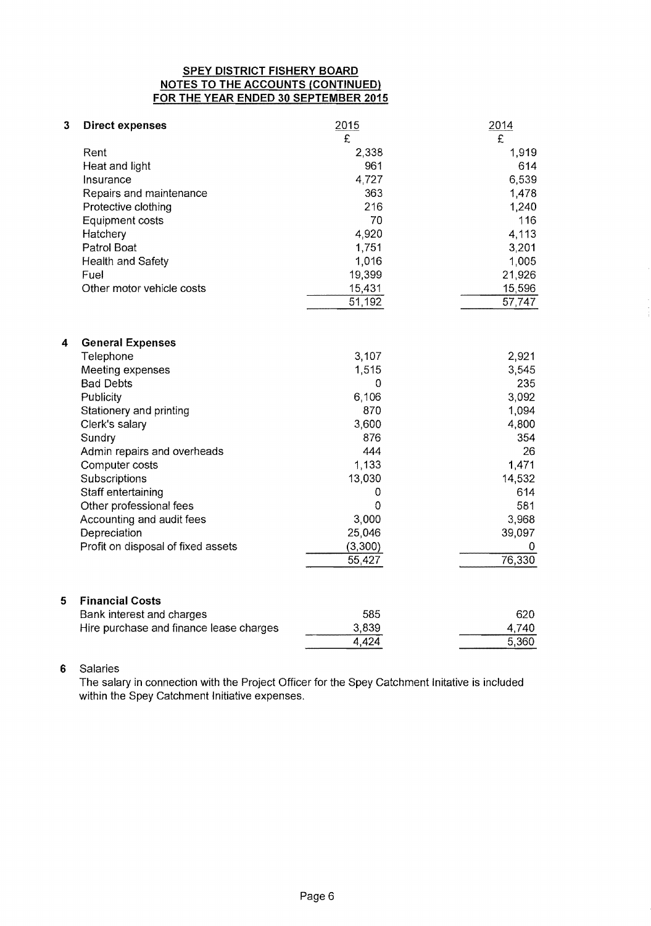# **SPEY DISTRICT FISHERY BOARD NOTES TO THE ACCOUNTS {CONTINUED} FOR THE YEAR ENDED 30 SEPTEMBER 2015**

| 3 | <b>Direct expenses</b>                              | 2015           | 2014   |
|---|-----------------------------------------------------|----------------|--------|
|   |                                                     | £              | £      |
|   | Rent                                                | 2,338          | 1,919  |
|   | Heat and light                                      | 961            | 614    |
|   | Insurance                                           | 4,727          | 6,539  |
|   | Repairs and maintenance                             | 363            | 1,478  |
|   | Protective clothing                                 | 216            | 1,240  |
|   | <b>Equipment costs</b>                              | 70             | 116    |
|   | Hatchery                                            | 4,920          | 4,113  |
|   | Patrol Boat                                         | 1,751          | 3,201  |
|   | Health and Safety                                   | 1,016          | 1,005  |
|   | Fuel                                                | 19,399         | 21,926 |
|   | Other motor vehicle costs                           | 15,431         | 15,596 |
|   |                                                     | 51,192         | 57,747 |
|   |                                                     |                |        |
| 4 | <b>General Expenses</b>                             |                |        |
|   | Telephone                                           | 3,107          | 2,921  |
|   | Meeting expenses                                    | 1,515          | 3,545  |
|   | <b>Bad Debts</b>                                    | 0              | 235    |
|   | Publicity                                           | 6,106          | 3,092  |
|   | Stationery and printing                             | 870            | 1,094  |
|   | Clerk's salary                                      | 3,600          | 4,800  |
|   | Sundry                                              | 876            | 354    |
|   | Admin repairs and overheads                         | 444            | 26     |
|   | Computer costs                                      | 1,133          | 1,471  |
|   | Subscriptions                                       | 13,030         | 14,532 |
|   | Staff entertaining                                  | 0              | 614    |
|   | Other professional fees                             | $\overline{0}$ | 581    |
|   | Accounting and audit fees                           | 3,000          | 3,968  |
|   | Depreciation                                        | 25,046         | 39,097 |
|   | Profit on disposal of fixed assets                  | (3,300)        | 0      |
|   |                                                     | 55,427         | 76,330 |
|   |                                                     |                |        |
| 5 | <b>Financial Costs</b><br>Bank interest and charges | 585            | 620    |
|   | Hire purchase and finance lease charges             | 3,839          | 4,740  |
|   |                                                     | 4,424          | 5,360  |

# **6** Salaries

The salary in connection with the Project Officer for the Spey Catchment Initative is included within the Spey Catchment Initiative expenses.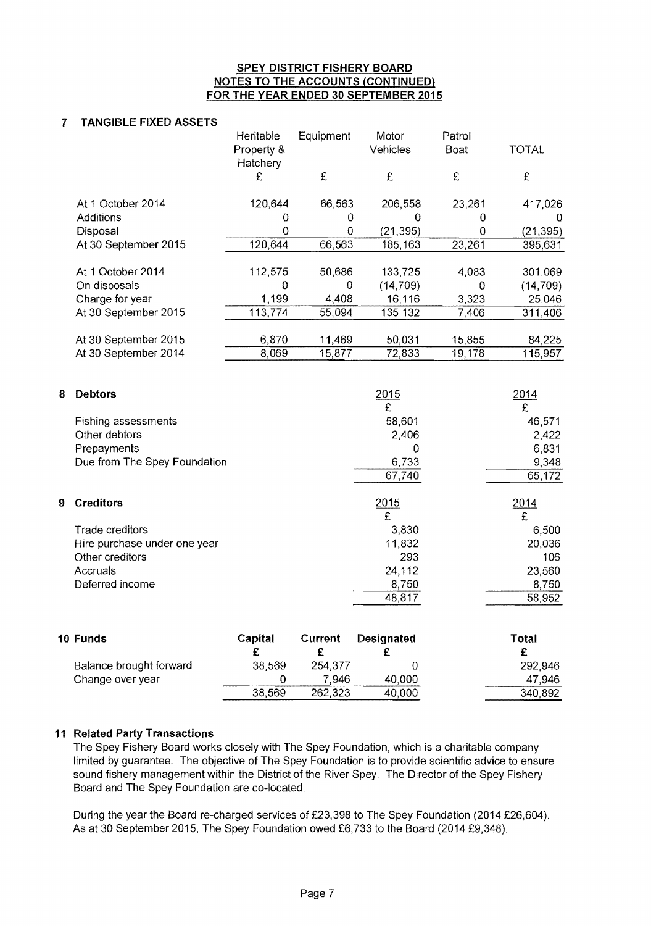#### **SPEY DISTRICT FISHERY BOARD NOTES TO THE ACCOUNTS (CONTINUED) FOR THE YEAR ENDED 30 SEPTEMBER 2015**

# **7 TANGIBLE FIXED ASSETS**

|                      | Heritable              | Equipment | Motor     | Patrol |              |
|----------------------|------------------------|-----------|-----------|--------|--------------|
|                      | Property &<br>Hatchery |           | Vehicles  | Boat   | <b>TOTAL</b> |
|                      | £                      | £         | £         | £      | £            |
| At 1 October 2014    | 120,644                | 66,563    | 206,558   | 23,261 | 417,026      |
| Additions            |                        | 0         | Ü         |        |              |
| Disposal             |                        | 0         | (21, 395) | 0      | (21, 395)    |
| At 30 September 2015 | 120,644                | 66,563    | 185,163   | 23,261 | 395,631      |
| At 1 October 2014    | 112,575                | 50,686    | 133,725   | 4,083  | 301,069      |
| On disposals         | 0                      | 0         | (14, 709) | 0      | (14, 709)    |
| Charge for year      | 1,199                  | 4,408     | 16,116    | 3,323  | 25,046       |
| At 30 September 2015 | 113,774                | 55,094    | 135,132   | 7,406  | 311,406      |
| At 30 September 2015 | 6,870                  | 11,469    | 50,031    | 15,855 | 84,225       |
| At 30 September 2014 | 8,069                  | 15,877    | 72,833    | 19,178 | 115,957      |
|                      |                        |           |           |        |              |

| 8 | <b>Debtors</b>               |         |         | 2015              | 2014         |
|---|------------------------------|---------|---------|-------------------|--------------|
|   |                              |         |         | £                 | £            |
|   | Fishing assessments          |         |         | 58,601            | 46,571       |
|   | Other debtors                |         |         | 2,406             | 2,422        |
|   | Prepayments                  |         |         | 0                 | 6,831        |
|   | Due from The Spey Foundation |         |         | 6,733             | 9,348        |
|   |                              |         |         | 67,740            | 65,172       |
| 9 | <b>Creditors</b>             |         |         | 2015              | 2014         |
|   |                              |         |         | £                 | £            |
|   | Trade creditors              |         |         | 3,830             | 6,500        |
|   | Hire purchase under one year |         |         | 11,832            | 20,036       |
|   | Other creditors              |         |         | 293               | 106          |
|   | Accruals                     |         |         | 24,112            | 23,560       |
|   | Deferred income              |         |         | 8,750             | 8,750        |
|   |                              |         |         | 48,817            | 58,952       |
|   | 10 Funds                     | Capital | Current | <b>Designated</b> | <b>Total</b> |
|   |                              | r.      | e       | r                 | r            |

| Balance brought forward | 38,569 | 254,377 |        | 292,946 |
|-------------------------|--------|---------|--------|---------|
| Change over year        |        | 7.946   | 40,000 | 47,946  |
|                         | 38,569 | 262,323 | 40.000 | 340 892 |

# **11 Related Party Transactions**

The Spey Fishery Board works closely with The Spey Foundation, which is a charitable company limited by guarantee. The objective of The Spey Foundation is to provide scientific advice to ensure sound fishery management within the District of the River Spey. The Director of the Spey Fishery Board and The Spey Foundation are co-located.

During the year the Board re-charged services of £23,398 to The Spey Foundation (2014 £26,604). As at 30 September 2015, The Spey Foundation owed £6,733 to the Board (2014 £9,348).